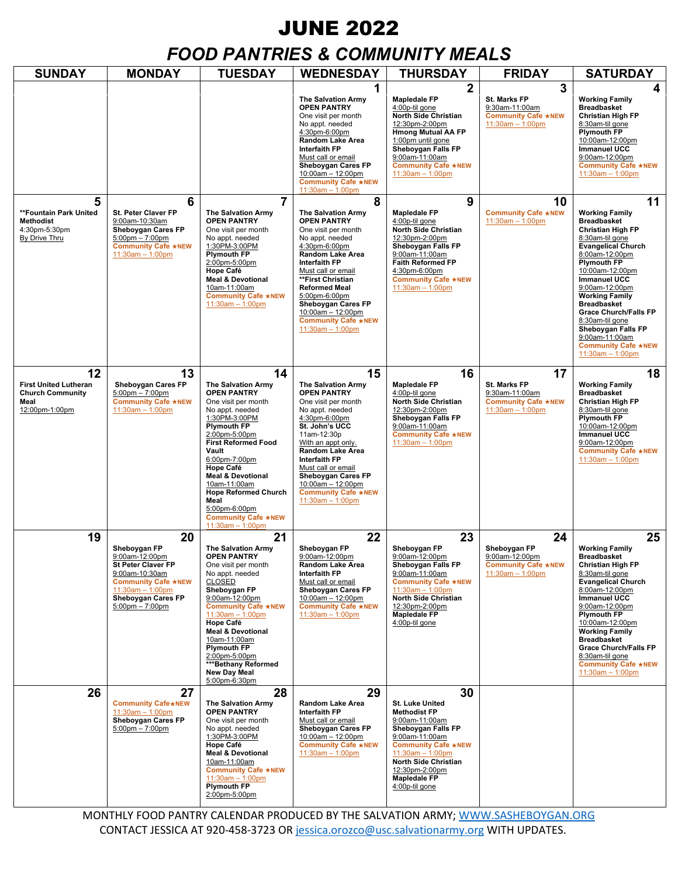# JUNE 2022

# *FOOD PANTRIES & COMMUNITY MEALS*

| <b>SUNDAY</b>                                                                           | <b>MONDAY</b>                                                                                                                                                                                           | <b>TUESDAY</b>                                                                                                                                                                                                                                                                                                                                                                           | <b>WEDNESDAY</b>                                                                                                                                                                                                                                                                                                                         | <b>THURSDAY</b>                                                                                                                                                                                                                                 | <b>FRIDAY</b>                                                                                   | <b>SATURDAY</b>                                                                                                                                                                                                                                                                                                                                                                                                          |
|-----------------------------------------------------------------------------------------|---------------------------------------------------------------------------------------------------------------------------------------------------------------------------------------------------------|------------------------------------------------------------------------------------------------------------------------------------------------------------------------------------------------------------------------------------------------------------------------------------------------------------------------------------------------------------------------------------------|------------------------------------------------------------------------------------------------------------------------------------------------------------------------------------------------------------------------------------------------------------------------------------------------------------------------------------------|-------------------------------------------------------------------------------------------------------------------------------------------------------------------------------------------------------------------------------------------------|-------------------------------------------------------------------------------------------------|--------------------------------------------------------------------------------------------------------------------------------------------------------------------------------------------------------------------------------------------------------------------------------------------------------------------------------------------------------------------------------------------------------------------------|
|                                                                                         |                                                                                                                                                                                                         |                                                                                                                                                                                                                                                                                                                                                                                          | 1<br><b>The Salvation Army</b><br><b>OPEN PANTRY</b><br>One visit per month<br>No appt. needed<br>4:30pm-6:00pm<br>Random Lake Area<br><b>Interfaith FP</b><br>Must call or email<br>Sheboygan Cares FP<br>$10:00$ am - 12:00pm<br><b>Community Cafe ★NEW</b><br>$11:30am - 1:00pm$                                                      | $\overline{2}$<br><b>Mapledale FP</b><br>4:00p-til gone<br>North Side Christian<br>12:30pm-2:00pm<br><b>Hmong Mutual AA FP</b><br>1:00pm until gone<br>Sheboygan Falls FP<br>9:00am-11:00am<br><b>Community Cafe ★NEW</b><br>$11:30am - 1:00pm$ | 3<br><b>St. Marks FP</b><br>9:30am-11:00am<br><b>Community Cafe *NEW</b><br>11:30am - 1:00pm    | 4<br><b>Working Family</b><br><b>Breadbasket</b><br>Christian High FP<br>8:30am-til gone<br><b>Plymouth FP</b><br>10:00am-12:00pm<br>Immanuel UCC<br>9:00am-12:00pm<br><b>Community Cafe ★NEW</b><br>$11:30am - 1:00pm$                                                                                                                                                                                                  |
| 5<br>**Fountain Park United<br><b>Methodist</b><br>4:30pm-5:30pm<br>By Drive Thru       | 6<br><b>St. Peter Claver FP</b><br>9:00am-10:30am<br>Sheboygan Cares FP<br>$5:00 \text{pm} - 7:00 \text{pm}$<br><b>Community Cafe ★NEW</b><br>11:30am - 1:00pm                                          | $\overline{7}$<br><b>The Salvation Army</b><br><b>OPEN PANTRY</b><br>One visit per month<br>No appt. needed<br>1:30PM-3:00PM<br><b>Plymouth FP</b><br>2:00pm-5:00pm<br>Hope Café<br><b>Meal &amp; Devotional</b><br>10am-11:00am<br><b>Community Cafe ★NEW</b><br>11:30am - 1:00pm                                                                                                       | 8<br><b>The Salvation Army</b><br>OPEN PANTRY<br>One visit per month<br>No appt. needed<br>4:30pm-6:00pm<br>Random Lake Area<br><b>Interfaith FP</b><br>Must call or email<br>**First Christian<br><b>Reformed Meal</b><br>5:00pm-6:00pm<br>Sheboygan Cares FP<br>10:00am - 12:00pm<br><b>Community Cafe ★NEW</b><br>$11:30am - 1:00pm$  | 9<br><b>Mapledale FP</b><br>4:00p-til gone<br>North Side Christian<br>12:30pm-2:00pm<br>Sheboygan Falls FP<br>9:00am-11:00am<br><b>Faith Reformed FP</b><br>4:30pm-6:00pm<br><b>Community Cafe ★NEW</b><br>11:30am - 1:00pm                     | 10<br><b>Community Cafe ★NEW</b><br>$11:30am - 1:00pm$                                          | 11<br><b>Working Family</b><br><b>Breadbasket</b><br>Christian High FP<br>8:30am-til gone<br><b>Evangelical Church</b><br>8:00am-12:00pm<br><b>Plymouth FP</b><br>10:00am-12:00pm<br><b>Immanuel UCC</b><br>9:00am-12:00pm<br><b>Working Family</b><br><b>Breadbasket</b><br><b>Grace Church/Falls FP</b><br>8:30am-til gone<br>Sheboygan Falls FP<br>9:00am-11:00am<br><b>Community Cafe ★NEW</b><br>$11:30am - 1:00pm$ |
| 12<br><b>First United Lutheran</b><br><b>Church Community</b><br>Meal<br>12:00pm-1:00pm | 13<br><b>Sheboygan Cares FP</b><br>$5:00 \text{pm} - 7:00 \text{pm}$<br><b>Community Cafe ★NEW</b><br>$11:30am - 1:00pm$                                                                                | 14<br><b>The Salvation Army</b><br><b>OPEN PANTRY</b><br>One visit per month<br>No appt. needed<br>1:30PM-3:00PM<br><b>Plymouth FP</b><br>2:00pm-5:00pm<br><b>First Reformed Food</b><br>Vault<br>6:00pm-7:00pm<br>Hope Café<br><b>Meal &amp; Devotional</b><br>10am-11:00am<br><b>Hope Reformed Church</b><br>Meal<br>5:00pm-6:00pm<br><b>Community Cafe ★NEW</b><br>$11:30am - 1:00pm$ | 15<br><b>The Salvation Army</b><br><b>OPEN PANTRY</b><br>One visit per month<br>No appt. needed<br>4:30pm-6:00pm<br>St. John's UCC<br>11am-12:30p<br>With an appt only.<br>Random Lake Area<br><b>Interfaith FP</b><br>Must call or email<br>Sheboygan Cares FP<br>10:00am - 12:00pm<br><b>Community Cafe ★NEW</b><br>$11:30am - 1:00pm$ | 16<br><b>Mapledale FP</b><br>4:00p-til gone<br>North Side Christian<br>12:30pm-2:00pm<br>Sheboygan Falls FP<br>9:00am-11:00am<br><b>Community Cafe ★NEW</b><br>11:30am - 1:00pm                                                                 | 17<br><b>St. Marks FP</b><br>9:30am-11:00am<br><b>Community Cafe ★NEW</b><br>$11:30am - 1:00pm$ | 18<br><b>Working Family</b><br><b>Breadbasket</b><br>Christian High FP<br>8:30am-til gone<br><b>Plymouth FP</b><br>10:00am-12:00pm<br><b>Immanuel UCC</b><br>9:00am-12:00pm<br><b>Community Cafe ★NEW</b><br>11:30am - 1:00pm                                                                                                                                                                                            |
| 19                                                                                      | 20<br>Sheboygan FP<br>9:00am-12:00pm<br><b>St Peter Claver FP</b><br>9:00am-10:30am<br><b>Community Cafe ★NEW</b><br>11:30am - 1:00pm<br><b>Sheboygan Cares FP</b><br>$5:00 \text{pm} - 7:00 \text{pm}$ | 21<br><b>The Salvation Army</b><br><b>OPEN PANTRY</b><br>One visit per month<br>No appt. needed<br><b>CLOSED</b><br>Sheboygan FP<br>9:00am-12:00pm<br><b>Community Cafe ★NEW</b><br>$11:30am - 1:00pm$<br>Hope Café<br><b>Meal &amp; Devotional</b><br>10am-11:00am<br><b>Plymouth FP</b><br>2:00pm-5:00pm<br>***Bethany Reformed<br>New Day Meal<br>5:00pm-6:30pm                       | 22<br>Sheboygan FP<br>9:00am-12:00pm<br>Random Lake Area<br><b>Interfaith FP</b><br>Must call or email<br>Sheboygan Cares FP<br>10:00am - 12:00pm<br><b>Community Cafe ★NEW</b><br>11:30am - 1:00pm                                                                                                                                      | 23<br>Sheboygan FP<br>9:00am-12:00pm<br>Sheboygan Falls FP<br>9:00am-11:00am<br><b>Community Cafe ★NEW</b><br>$11:30am - 1:00pm$<br>North Side Christian<br>12:30pm-2:00pm<br><b>Mapledale FP</b><br>4:00p-til gone                             | 24<br>Sheboygan FP<br>9:00am-12:00pm<br><b>Community Cafe ★NEW</b><br>11:30am - 1:00pm          | 25<br><b>Working Family</b><br><b>Breadbasket</b><br><b>Christian High FP</b><br>8:30am-til gone<br><b>Evangelical Church</b><br>8:00am-12:00pm<br><b>Immanuel UCC</b><br>9:00am-12:00pm<br>Plymouth FP<br>10:00am-12:00pm<br><b>Working Family</b><br><b>Breadbasket</b><br><b>Grace Church/Falls FP</b><br>8:30am-til gone<br><b>Community Cafe ★NEW</b><br>$11:30am - 1:00pm$                                         |
| 26                                                                                      | 27<br><b>Community Cafe*NEW</b><br>$11:30am - 1:00pm$<br>Sheboygan Cares FP<br>$5:00 \text{pm} - 7:00 \text{pm}$                                                                                        | 28<br><b>The Salvation Army</b><br><b>OPEN PANTRY</b><br>One visit per month<br>No appt. needed<br>1:30PM-3:00PM<br>Hope Café<br><b>Meal &amp; Devotional</b><br>10am-11:00am<br><b>Community Cafe ★NEW</b><br>$11:30am - 1:00pm$<br><b>Plymouth FP</b><br>2:00pm-5:00pm                                                                                                                 | 29<br>Random Lake Area<br><b>Interfaith FP</b><br>Must call or email<br>Sheboygan Cares FP<br>10:00am - 12:00pm<br><b>Community Cafe ★NEW</b><br>$11:30am - 1:00pm$                                                                                                                                                                      | 30<br>St. Luke United<br><b>Methodist FP</b><br>9:00am-11:00am<br>Sheboygan Falls FP<br>9:00am-11:00am<br><b>Community Cafe ★NEW</b><br>$11:30am - 1:00pm$<br>North Side Christian<br>12:30pm-2:00pm<br><b>Mapledale FP</b><br>4:00p-til gone   |                                                                                                 |                                                                                                                                                                                                                                                                                                                                                                                                                          |

MONTHLY FOOD PANTRY CALENDAR PRODUCED BY THE SALVATION ARMY[; WWW.SASHEBOYGAN.ORG](http://www.sasheboygan.org/) CONTACT JESSICA AT 920-458-3723 OR [jessica.orozco@usc.salvationarmy.org](mailto:jessica.orozco@usc.salvationarmy.org) WITH UPDATES.